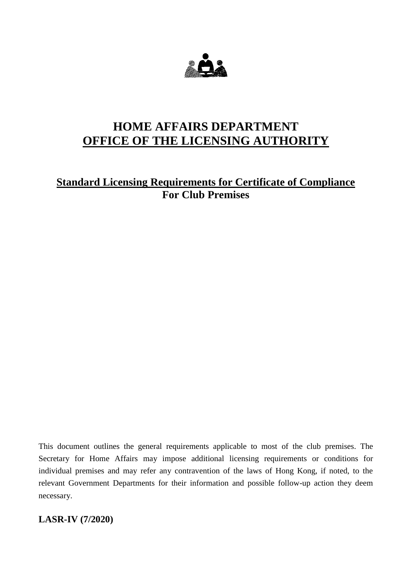

# **HOME AFFAIRS DEPARTMENT OFFICE OF THE LICENSING AUTHORITY**

# **Standard Licensing Requirements for Certificate of Compliance For Club Premises**

This document outlines the general requirements applicable to most of the club premises. The Secretary for Home Affairs may impose additional licensing requirements or conditions for individual premises and may refer any contravention of the laws of Hong Kong, if noted, to the relevant Government Departments for their information and possible follow-up action they deem necessary.

## **LASR-IV (7/2020)**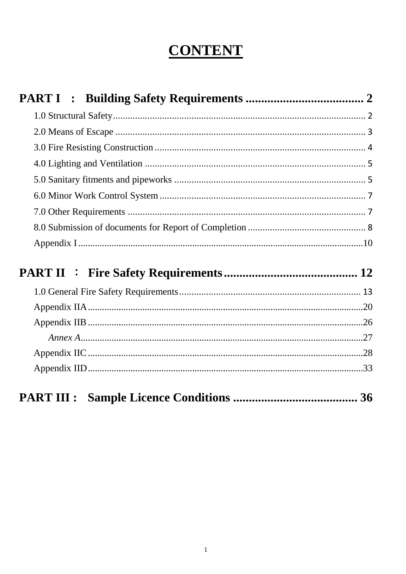# **CONTENT**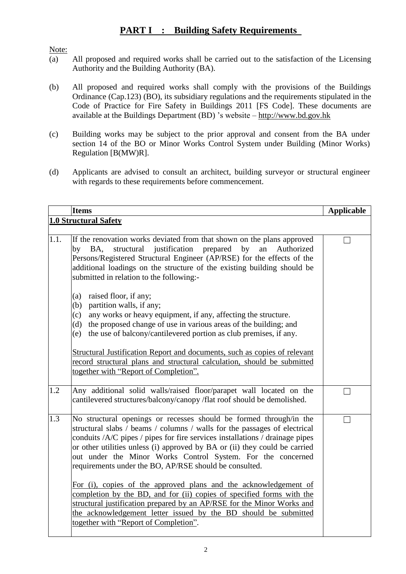# **PART I : Building Safety Requirements**

<span id="page-2-0"></span>Note:

- (a) All proposed and required works shall be carried out to the satisfaction of the Licensing Authority and the Building Authority (BA).
- (b) All proposed and required works shall comply with the provisions of the Buildings Ordinance (Cap.123) (BO), its subsidiary regulations and the requirements stipulated in the Code of Practice for Fire Safety in Buildings 2011 [FS Code]. These documents are available at the Buildings Department (BD) 's website – [http://www.bd.gov.hk](http://www.bd.gov.hk/)
- (c) Building works may be subject to the prior approval and consent from the BA under section 14 of the BO or Minor Works Control System under Building (Minor Works) Regulation [B(MW)R].
- (d) Applicants are advised to consult an architect, building surveyor or structural engineer with regards to these requirements before commencement.

<span id="page-2-1"></span>

|      | <b>Items</b>                                                                                                                                                                                                                                                                                                                                                                                                                           | <b>Applicable</b>        |
|------|----------------------------------------------------------------------------------------------------------------------------------------------------------------------------------------------------------------------------------------------------------------------------------------------------------------------------------------------------------------------------------------------------------------------------------------|--------------------------|
|      | <b>1.0 Structural Safety</b>                                                                                                                                                                                                                                                                                                                                                                                                           |                          |
| 1.1. | If the renovation works deviated from that shown on the plans approved<br>justification<br>structural<br>by<br>Authorized<br>by<br>BA,<br>prepared<br>an<br>Persons/Registered Structural Engineer (AP/RSE) for the effects of the<br>additional loadings on the structure of the existing building should be<br>submitted in relation to the following:-                                                                              |                          |
|      | (a) raised floor, if any;<br>partition walls, if any;<br>(b)<br>any works or heavy equipment, if any, affecting the structure.<br>(c)<br>the proposed change of use in various areas of the building; and<br>(d)<br>the use of balcony/cantilevered portion as club premises, if any.<br>(e)                                                                                                                                           |                          |
|      | Structural Justification Report and documents, such as copies of relevant<br>record structural plans and structural calculation, should be submitted<br>together with "Report of Completion".                                                                                                                                                                                                                                          |                          |
| 1.2  | Any additional solid walls/raised floor/parapet wall located on the<br>cantilevered structures/balcony/canopy /flat roof should be demolished.                                                                                                                                                                                                                                                                                         | $\overline{\phantom{0}}$ |
| 1.3  | No structural openings or recesses should be formed through/in the<br>structural slabs / beams / columns / walls for the passages of electrical<br>conduits /A/C pipes / pipes for fire services installations / drainage pipes<br>or other utilities unless (i) approved by BA or (ii) they could be carried<br>out under the Minor Works Control System. For the concerned<br>requirements under the BO, AP/RSE should be consulted. |                          |
|      | For (i), copies of the approved plans and the acknowledgement of<br>completion by the BD, and for (ii) copies of specified forms with the<br>structural justification prepared by an AP/RSE for the Minor Works and<br>the acknowledgement letter issued by the BD should be submitted<br>together with "Report of Completion".                                                                                                        |                          |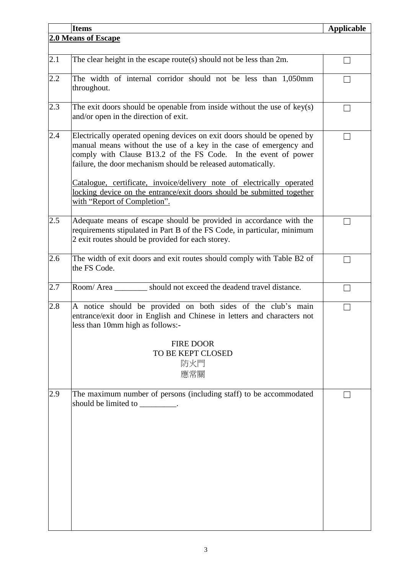<span id="page-3-0"></span>

|                            | <b>Items</b>                                                                                                                                                                                                                                                                     |  |
|----------------------------|----------------------------------------------------------------------------------------------------------------------------------------------------------------------------------------------------------------------------------------------------------------------------------|--|
| <b>2.0 Means of Escape</b> |                                                                                                                                                                                                                                                                                  |  |
| 2.1                        | The clear height in the escape route(s) should not be less than $2m$ .                                                                                                                                                                                                           |  |
| 2.2                        | The width of internal corridor should not be less than 1,050mm<br>throughout.                                                                                                                                                                                                    |  |
| 2.3                        | The exit doors should be openable from inside without the use of key(s)<br>and/or open in the direction of exit.                                                                                                                                                                 |  |
| 2.4                        | Electrically operated opening devices on exit doors should be opened by<br>manual means without the use of a key in the case of emergency and<br>comply with Clause B13.2 of the FS Code. In the event of power<br>failure, the door mechanism should be released automatically. |  |
|                            | Catalogue, certificate, invoice/delivery note of electrically operated<br>locking device on the entrance/exit doors should be submitted together<br>with "Report of Completion".                                                                                                 |  |
| 2.5                        | Adequate means of escape should be provided in accordance with the<br>requirements stipulated in Part B of the FS Code, in particular, minimum<br>2 exit routes should be provided for each storey.                                                                              |  |
| 2.6                        | The width of exit doors and exit routes should comply with Table B2 of<br>the FS Code.                                                                                                                                                                                           |  |
| 2.7                        | Room/Area _________ should not exceed the deadend travel distance.                                                                                                                                                                                                               |  |
| 2.8                        | A notice should be provided on both sides of the club's main<br>entrance/exit door in English and Chinese in letters and characters not<br>less than 10mm high as follows:-                                                                                                      |  |
|                            | <b>FIRE DOOR</b><br>TO BE KEPT CLOSED<br>防火門<br>應常關                                                                                                                                                                                                                              |  |
| 2.9                        | The maximum number of persons (including staff) to be accommodated<br>should be limited to _________.                                                                                                                                                                            |  |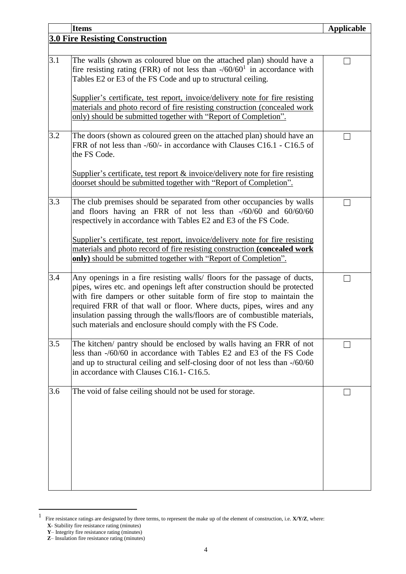<span id="page-4-0"></span>

|     | <b>Items</b>                                                                                                                                                                                                                                                                                                                                                                                                                                          |  |  |
|-----|-------------------------------------------------------------------------------------------------------------------------------------------------------------------------------------------------------------------------------------------------------------------------------------------------------------------------------------------------------------------------------------------------------------------------------------------------------|--|--|
|     | <b>3.0 Fire Resisting Construction</b>                                                                                                                                                                                                                                                                                                                                                                                                                |  |  |
| 3.1 | The walls (shown as coloured blue on the attached plan) should have a<br>fire resisting rating (FRR) of not less than $-760/601$ in accordance with<br>Tables E2 or E3 of the FS Code and up to structural ceiling.                                                                                                                                                                                                                                   |  |  |
|     | Supplier's certificate, test report, invoice/delivery note for fire resisting<br>materials and photo record of fire resisting construction (concealed work<br>only) should be submitted together with "Report of Completion".                                                                                                                                                                                                                         |  |  |
| 3.2 | The doors (shown as coloured green on the attached plan) should have an<br>FRR of not less than -/60/- in accordance with Clauses C16.1 - C16.5 of<br>the FS Code.                                                                                                                                                                                                                                                                                    |  |  |
|     | Supplier's certificate, test report $&$ invoice/delivery note for fire resisting<br>doorset should be submitted together with "Report of Completion".                                                                                                                                                                                                                                                                                                 |  |  |
| 3.3 | The club premises should be separated from other occupancies by walls<br>and floors having an FRR of not less than -/60/60 and 60/60/60<br>respectively in accordance with Tables E2 and E3 of the FS Code.                                                                                                                                                                                                                                           |  |  |
|     | Supplier's certificate, test report, invoice/delivery note for fire resisting<br>materials and photo record of fire resisting construction (concealed work<br>only) should be submitted together with "Report of Completion".                                                                                                                                                                                                                         |  |  |
| 3.4 | Any openings in a fire resisting walls/ floors for the passage of ducts,<br>pipes, wires etc. and openings left after construction should be protected<br>with fire dampers or other suitable form of fire stop to maintain the<br>required FRR of that wall or floor. Where ducts, pipes, wires and any<br>insulation passing through the walls/floors are of combustible materials,<br>such materials and enclosure should comply with the FS Code. |  |  |
| 3.5 | The kitchen/ pantry should be enclosed by walls having an FRR of not<br>less than -/60/60 in accordance with Tables E2 and E3 of the FS Code<br>and up to structural ceiling and self-closing door of not less than -/60/60<br>in accordance with Clauses C16.1-C16.5.                                                                                                                                                                                |  |  |
| 3.6 | The void of false ceiling should not be used for storage.                                                                                                                                                                                                                                                                                                                                                                                             |  |  |

<sup>1</sup> Fire resistance ratings are designated by three terms, to represent the make up of the element of construction, i.e. **X/Y/Z**, where: **X**- Stability fire resistance rating (minutes)

1

**Y**– Integrity fire resistance rating (minutes)

**Z**– Insulation fire resistance rating (minutes)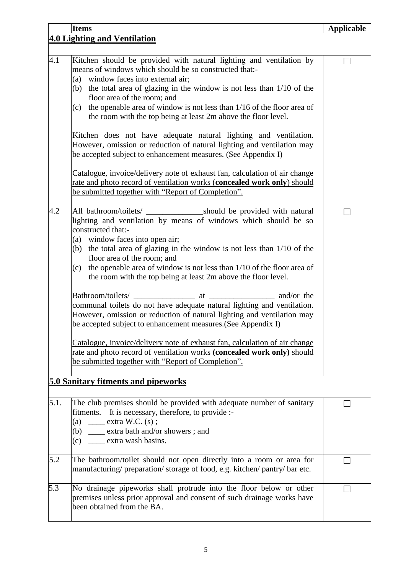<span id="page-5-1"></span><span id="page-5-0"></span>

|      | <b>Items</b>                                                                                                                                                                                                                                                                                                                                                                                                                                                                                                                                                                                                                                                                                                                                                                                                                                                             | <b>Applicable</b> |
|------|--------------------------------------------------------------------------------------------------------------------------------------------------------------------------------------------------------------------------------------------------------------------------------------------------------------------------------------------------------------------------------------------------------------------------------------------------------------------------------------------------------------------------------------------------------------------------------------------------------------------------------------------------------------------------------------------------------------------------------------------------------------------------------------------------------------------------------------------------------------------------|-------------------|
|      | 4.0 Lighting and Ventilation                                                                                                                                                                                                                                                                                                                                                                                                                                                                                                                                                                                                                                                                                                                                                                                                                                             |                   |
| 4.1  | Kitchen should be provided with natural lighting and ventilation by<br>means of windows which should be so constructed that:-<br>window faces into external air;<br>(a)<br>(b) the total area of glazing in the window is not less than 1/10 of the<br>floor area of the room; and<br>the openable area of window is not less than $1/16$ of the floor area of<br>(c)<br>the room with the top being at least 2m above the floor level.<br>Kitchen does not have adequate natural lighting and ventilation.<br>However, omission or reduction of natural lighting and ventilation may<br>be accepted subject to enhancement measures. (See Appendix I)<br>Catalogue, invoice/delivery note of exhaust fan, calculation of air change<br>rate and photo record of ventilation works (concealed work only) should<br>be submitted together with "Report of Completion".    |                   |
| 4.2  | lighting and ventilation by means of windows which should be so<br>constructed that:-<br>(a) window faces into open air;<br>(b) the total area of glazing in the window is not less than $1/10$ of the<br>floor area of the room; and<br>the openable area of window is not less than $1/10$ of the floor area of<br>(c)<br>the room with the top being at least 2m above the floor level.<br>Bathroom/toilets/<br>and/or the<br>at<br>communal toilets do not have adequate natural lighting and ventilation.<br>However, omission or reduction of natural lighting and ventilation may<br>be accepted subject to enhancement measures. (See Appendix I)<br>Catalogue, invoice/delivery note of exhaust fan, calculation of air change<br>rate and photo record of ventilation works (concealed work only) should<br>be submitted together with "Report of Completion". |                   |
|      | 5.0 Sanitary fitments and pipeworks                                                                                                                                                                                                                                                                                                                                                                                                                                                                                                                                                                                                                                                                                                                                                                                                                                      |                   |
| 5.1. | The club premises should be provided with adequate number of sanitary<br>fitments. It is necessary, therefore, to provide :-<br>(a) ______ extra W.C. (s);<br>(b) ______ extra bath and/or showers; and<br>(c) ______ extra wash basins.                                                                                                                                                                                                                                                                                                                                                                                                                                                                                                                                                                                                                                 |                   |
| 5.2  | The bathroom/toilet should not open directly into a room or area for<br>manufacturing/ preparation/ storage of food, e.g. kitchen/ pantry/ bar etc.                                                                                                                                                                                                                                                                                                                                                                                                                                                                                                                                                                                                                                                                                                                      |                   |
| 5.3  | No drainage pipeworks shall protrude into the floor below or other<br>premises unless prior approval and consent of such drainage works have<br>been obtained from the BA.                                                                                                                                                                                                                                                                                                                                                                                                                                                                                                                                                                                                                                                                                               |                   |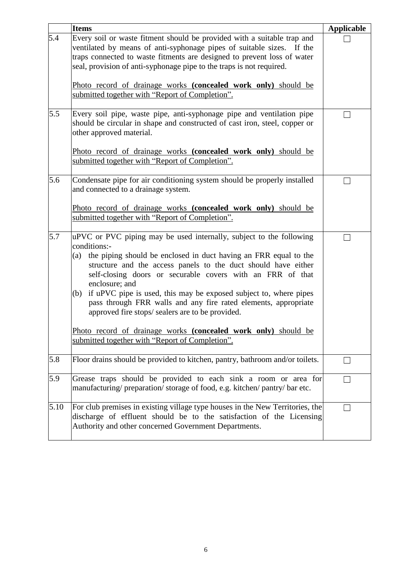|      | <b>Items</b>                                                                                                                                                                                                                                                                                                                                                                                                                                                                                                                                                                                                                       | <b>Applicable</b> |
|------|------------------------------------------------------------------------------------------------------------------------------------------------------------------------------------------------------------------------------------------------------------------------------------------------------------------------------------------------------------------------------------------------------------------------------------------------------------------------------------------------------------------------------------------------------------------------------------------------------------------------------------|-------------------|
| 5.4  | Every soil or waste fitment should be provided with a suitable trap and<br>ventilated by means of anti-syphonage pipes of suitable sizes. If the<br>traps connected to waste fitments are designed to prevent loss of water<br>seal, provision of anti-syphonage pipe to the traps is not required.                                                                                                                                                                                                                                                                                                                                |                   |
|      | Photo record of drainage works (concealed work only) should be<br>submitted together with "Report of Completion".                                                                                                                                                                                                                                                                                                                                                                                                                                                                                                                  |                   |
| 5.5  | Every soil pipe, waste pipe, anti-syphonage pipe and ventilation pipe<br>should be circular in shape and constructed of cast iron, steel, copper or<br>other approved material.                                                                                                                                                                                                                                                                                                                                                                                                                                                    |                   |
|      | Photo record of drainage works (concealed work only) should be<br>submitted together with "Report of Completion".                                                                                                                                                                                                                                                                                                                                                                                                                                                                                                                  |                   |
| 5.6  | Condensate pipe for air conditioning system should be properly installed<br>and connected to a drainage system.                                                                                                                                                                                                                                                                                                                                                                                                                                                                                                                    |                   |
|      | Photo record of drainage works (concealed work only) should be<br>submitted together with "Report of Completion".                                                                                                                                                                                                                                                                                                                                                                                                                                                                                                                  |                   |
| 5.7  | uPVC or PVC piping may be used internally, subject to the following<br>conditions:-<br>(a) the piping should be enclosed in duct having an FRR equal to the<br>structure and the access panels to the duct should have either<br>self-closing doors or securable covers with an FRR of that<br>enclosure; and<br>(b) if uPVC pipe is used, this may be exposed subject to, where pipes<br>pass through FRR walls and any fire rated elements, appropriate<br>approved fire stops/ sealers are to be provided.<br>Photo record of drainage works (concealed work only) should be<br>submitted together with "Report of Completion". |                   |
| 5.8  | Floor drains should be provided to kitchen, pantry, bathroom and/or toilets.                                                                                                                                                                                                                                                                                                                                                                                                                                                                                                                                                       |                   |
| 5.9  | Grease traps should be provided to each sink a room or area for<br>manufacturing/ preparation/ storage of food, e.g. kitchen/ pantry/ bar etc.                                                                                                                                                                                                                                                                                                                                                                                                                                                                                     |                   |
| 5.10 | For club premises in existing village type houses in the New Territories, the<br>discharge of effluent should be to the satisfaction of the Licensing<br>Authority and other concerned Government Departments.                                                                                                                                                                                                                                                                                                                                                                                                                     |                   |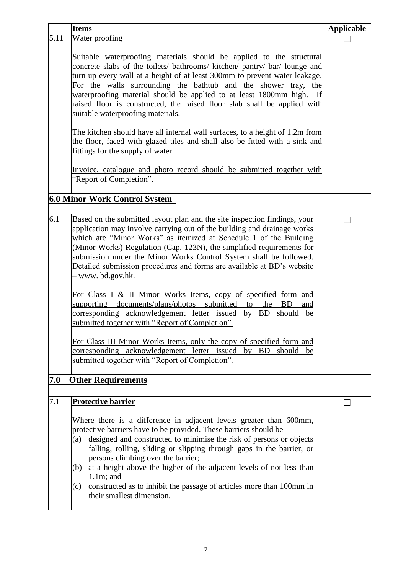<span id="page-7-1"></span><span id="page-7-0"></span>

|      | <b>Items</b>                                                                                                                                                                                                                                                                                                                                                                                                                                                                                                                                                                                                                                                                                                                                                                                                                                                                                                                             |  |  |  |
|------|------------------------------------------------------------------------------------------------------------------------------------------------------------------------------------------------------------------------------------------------------------------------------------------------------------------------------------------------------------------------------------------------------------------------------------------------------------------------------------------------------------------------------------------------------------------------------------------------------------------------------------------------------------------------------------------------------------------------------------------------------------------------------------------------------------------------------------------------------------------------------------------------------------------------------------------|--|--|--|
| 5.11 | Water proofing                                                                                                                                                                                                                                                                                                                                                                                                                                                                                                                                                                                                                                                                                                                                                                                                                                                                                                                           |  |  |  |
|      | Suitable waterproofing materials should be applied to the structural<br>concrete slabs of the toilets/ bathrooms/ kitchen/ pantry/ bar/ lounge and<br>turn up every wall at a height of at least 300mm to prevent water leakage.<br>For the walls surrounding the bathtub and the shower tray, the<br>waterproofing material should be applied to at least 1800mm high. If<br>raised floor is constructed, the raised floor slab shall be applied with<br>suitable waterproofing materials.                                                                                                                                                                                                                                                                                                                                                                                                                                              |  |  |  |
|      | The kitchen should have all internal wall surfaces, to a height of 1.2m from<br>the floor, faced with glazed tiles and shall also be fitted with a sink and<br>fittings for the supply of water.                                                                                                                                                                                                                                                                                                                                                                                                                                                                                                                                                                                                                                                                                                                                         |  |  |  |
|      | Invoice, catalogue and photo record should be submitted together with<br>"Report of Completion".                                                                                                                                                                                                                                                                                                                                                                                                                                                                                                                                                                                                                                                                                                                                                                                                                                         |  |  |  |
|      | <b>6.0 Minor Work Control System</b>                                                                                                                                                                                                                                                                                                                                                                                                                                                                                                                                                                                                                                                                                                                                                                                                                                                                                                     |  |  |  |
| 6.1  | Based on the submitted layout plan and the site inspection findings, your<br>application may involve carrying out of the building and drainage works<br>which are "Minor Works" as itemized at Schedule 1 of the Building<br>(Minor Works) Regulation (Cap. 123N), the simplified requirements for<br>submission under the Minor Works Control System shall be followed.<br>Detailed submission procedures and forms are available at BD's website<br>- www. bd.gov.hk.<br>For Class I & II Minor Works Items, copy of specified form and<br>supporting documents/plans/photos submitted to<br><b>BD</b><br>the<br>and<br>corresponding acknowledgement letter issued by BD<br>should be<br>submitted together with "Report of Completion".<br>For Class III Minor Works Items, only the copy of specified form and<br>corresponding acknowledgement letter issued by BD should<br>be<br>submitted together with "Report of Completion". |  |  |  |
| 7.0  | <b>Other Requirements</b>                                                                                                                                                                                                                                                                                                                                                                                                                                                                                                                                                                                                                                                                                                                                                                                                                                                                                                                |  |  |  |
| 7.1  | <b>Protective barrier</b>                                                                                                                                                                                                                                                                                                                                                                                                                                                                                                                                                                                                                                                                                                                                                                                                                                                                                                                |  |  |  |
|      | Where there is a difference in adjacent levels greater than 600mm,<br>protective barriers have to be provided. These barriers should be<br>designed and constructed to minimise the risk of persons or objects<br>(a)<br>falling, rolling, sliding or slipping through gaps in the barrier, or<br>persons climbing over the barrier;<br>at a height above the higher of the adjacent levels of not less than<br>(b)<br>$1.1m$ ; and<br>constructed as to inhibit the passage of articles more than 100mm in<br>(c)<br>their smallest dimension.                                                                                                                                                                                                                                                                                                                                                                                          |  |  |  |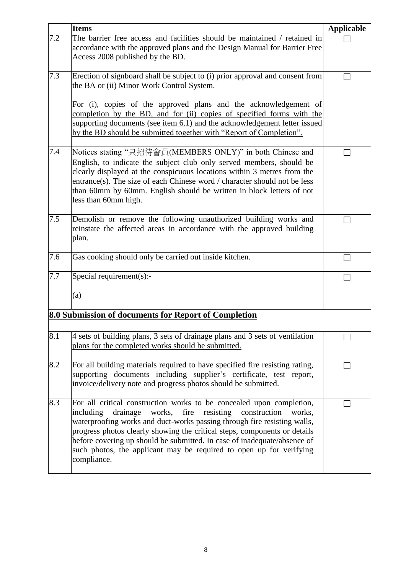<span id="page-8-0"></span>

|     | <b>Items</b>                                                                                                                                                                                                                                                                                                                                                                                                                                                             |  |  |  |  |
|-----|--------------------------------------------------------------------------------------------------------------------------------------------------------------------------------------------------------------------------------------------------------------------------------------------------------------------------------------------------------------------------------------------------------------------------------------------------------------------------|--|--|--|--|
| 7.2 | The barrier free access and facilities should be maintained / retained in<br>accordance with the approved plans and the Design Manual for Barrier Free<br>Access 2008 published by the BD.                                                                                                                                                                                                                                                                               |  |  |  |  |
| 7.3 | Erection of signboard shall be subject to (i) prior approval and consent from<br>the BA or (ii) Minor Work Control System.<br>For (i), copies of the approved plans and the acknowledgement of<br>completion by the BD, and for (ii) copies of specified forms with the<br>supporting documents (see item 6.1) and the acknowledgement letter issued<br>by the BD should be submitted together with "Report of Completion".                                              |  |  |  |  |
| 7.4 | Notices stating "只招待會員(MEMBERS ONLY)" in both Chinese and<br>English, to indicate the subject club only served members, should be<br>clearly displayed at the conspicuous locations within 3 metres from the<br>entrance(s). The size of each Chinese word / character should not be less<br>than 60mm by 60mm. English should be written in block letters of not<br>less than 60mm high.                                                                                |  |  |  |  |
| 7.5 | Demolish or remove the following unauthorized building works and<br>reinstate the affected areas in accordance with the approved building<br>plan.                                                                                                                                                                                                                                                                                                                       |  |  |  |  |
| 7.6 | Gas cooking should only be carried out inside kitchen.                                                                                                                                                                                                                                                                                                                                                                                                                   |  |  |  |  |
| 7.7 | Special requirement $(s)$ :-<br>(a)                                                                                                                                                                                                                                                                                                                                                                                                                                      |  |  |  |  |
|     | 8.0 Submission of documents for Report of Completion                                                                                                                                                                                                                                                                                                                                                                                                                     |  |  |  |  |
| 8.1 | 4 sets of building plans, 3 sets of drainage plans and 3 sets of ventilation<br>plans for the completed works should be submitted.                                                                                                                                                                                                                                                                                                                                       |  |  |  |  |
| 8.2 | For all building materials required to have specified fire resisting rating,<br>supporting documents including supplier's certificate, test report,<br>invoice/delivery note and progress photos should be submitted.                                                                                                                                                                                                                                                    |  |  |  |  |
| 8.3 | For all critical construction works to be concealed upon completion,<br>including<br>drainage works, fire<br>resisting construction<br>works,<br>waterproofing works and duct-works passing through fire resisting walls,<br>progress photos clearly showing the critical steps, components or details<br>before covering up should be submitted. In case of inadequate/absence of<br>such photos, the applicant may be required to open up for verifying<br>compliance. |  |  |  |  |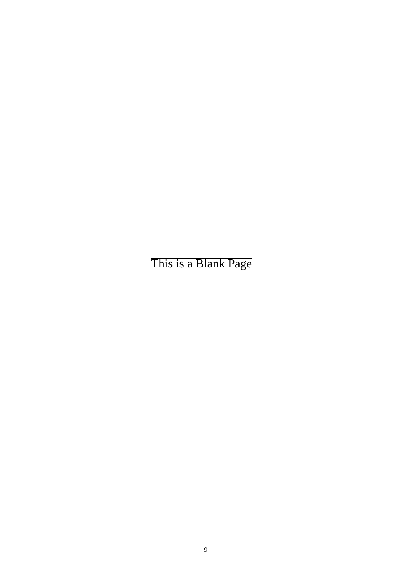# This is a Blank Page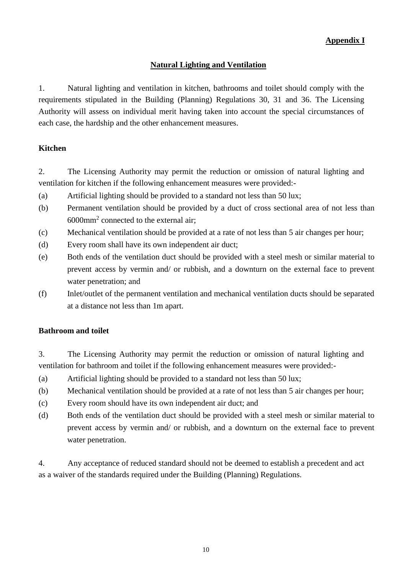#### **Appendix I**

#### **Natural Lighting and Ventilation**

<span id="page-10-0"></span>1. Natural lighting and ventilation in kitchen, bathrooms and toilet should comply with the requirements stipulated in the Building (Planning) Regulations 30, 31 and 36. The Licensing Authority will assess on individual merit having taken into account the special circumstances of each case, the hardship and the other enhancement measures.

#### **Kitchen**

2. The Licensing Authority may permit the reduction or omission of natural lighting and ventilation for kitchen if the following enhancement measures were provided:-

- (a) Artificial lighting should be provided to a standard not less than 50 lux;
- (b) Permanent ventilation should be provided by a duct of cross sectional area of not less than 6000mm<sup>2</sup> connected to the external air;
- (c) Mechanical ventilation should be provided at a rate of not less than 5 air changes per hour;
- (d) Every room shall have its own independent air duct;
- (e) Both ends of the ventilation duct should be provided with a steel mesh or similar material to prevent access by vermin and/ or rubbish, and a downturn on the external face to prevent water penetration; and
- (f) Inlet/outlet of the permanent ventilation and mechanical ventilation ducts should be separated at a distance not less than 1m apart.

#### **Bathroom and toilet**

3. The Licensing Authority may permit the reduction or omission of natural lighting and ventilation for bathroom and toilet if the following enhancement measures were provided:-

- (a) Artificial lighting should be provided to a standard not less than 50 lux;
- (b) Mechanical ventilation should be provided at a rate of not less than 5 air changes per hour;
- (c) Every room should have its own independent air duct; and
- (d) Both ends of the ventilation duct should be provided with a steel mesh or similar material to prevent access by vermin and/ or rubbish, and a downturn on the external face to prevent water penetration.

4. Any acceptance of reduced standard should not be deemed to establish a precedent and act as a waiver of the standards required under the Building (Planning) Regulations.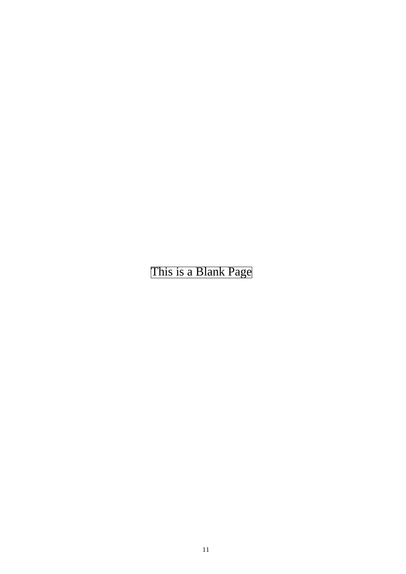# This is a Blank Page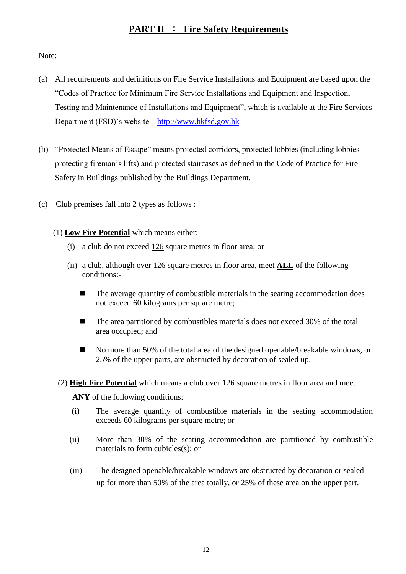# **PART II** : **Fire Safety Requirements**

<span id="page-12-0"></span>Note:

- (a) All requirements and definitions on Fire Service Installations and Equipment are based upon the "Codes of Practice for Minimum Fire Service Installations and Equipment and Inspection, Testing and Maintenance of Installations and Equipment", which is available at the Fire Services Department (FSD)'s website – [http://www.hkfsd.gov.hk](http://www.hkfsd.gov.hk/)
- (b) "Protected Means of Escape" means protected corridors, protected lobbies (including lobbies protecting fireman's lifts) and protected staircases as defined in the Code of Practice for Fire Safety in Buildings published by the Buildings Department.
- (c) Club premises fall into 2 types as follows :
	- (1) **Low Fire Potential** which means either:-
		- (i) a club do not exceed 126 square metres in floor area; or
		- (ii) a club, although over 126 square metres in floor area, meet **ALL** of the following conditions:-
			- The average quantity of combustible materials in the seating accommodation does not exceed 60 kilograms per square metre;
			- The area partitioned by combustibles materials does not exceed 30% of the total area occupied; and
			- No more than 50% of the total area of the designed openable/breakable windows, or 25% of the upper parts, are obstructed by decoration of sealed up.
		- (2) **High Fire Potential** which means a club over 126 square metres in floor area and meet

**ANY** of the following conditions:

- (i) The average quantity of combustible materials in the seating accommodation exceeds 60 kilograms per square metre; or
- (ii) More than 30% of the seating accommodation are partitioned by combustible materials to form cubicles(s); or
- (iii) The designed openable/breakable windows are obstructed by decoration or sealed up for more than 50% of the area totally, or 25% of these area on the upper part.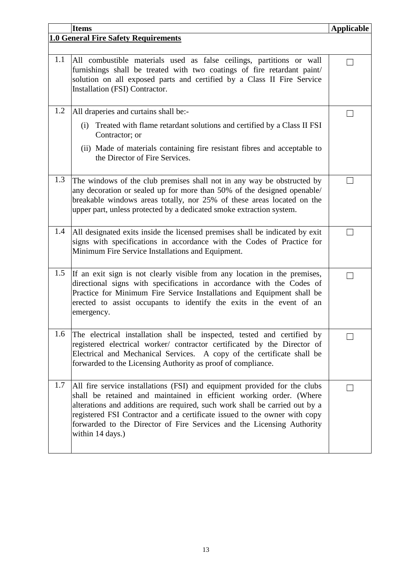<span id="page-13-0"></span>

|     | <b>Items</b>                                                                                                                                                                                                                                                                                                                                                                                               | <b>Applicable</b> |
|-----|------------------------------------------------------------------------------------------------------------------------------------------------------------------------------------------------------------------------------------------------------------------------------------------------------------------------------------------------------------------------------------------------------------|-------------------|
|     | <b>1.0 General Fire Safety Requirements</b>                                                                                                                                                                                                                                                                                                                                                                |                   |
| 1.1 | All combustible materials used as false ceilings, partitions or wall<br>furnishings shall be treated with two coatings of fire retardant paint/<br>solution on all exposed parts and certified by a Class II Fire Service<br>Installation (FSI) Contractor.                                                                                                                                                |                   |
| 1.2 | All draperies and curtains shall be:-                                                                                                                                                                                                                                                                                                                                                                      |                   |
|     | (i) Treated with flame retardant solutions and certified by a Class II FSI<br>Contractor; or                                                                                                                                                                                                                                                                                                               |                   |
|     | (ii) Made of materials containing fire resistant fibres and acceptable to<br>the Director of Fire Services.                                                                                                                                                                                                                                                                                                |                   |
| 1.3 | The windows of the club premises shall not in any way be obstructed by<br>any decoration or sealed up for more than 50% of the designed openable/<br>breakable windows areas totally, nor 25% of these areas located on the<br>upper part, unless protected by a dedicated smoke extraction system.                                                                                                        |                   |
| 1.4 | All designated exits inside the licensed premises shall be indicated by exit<br>signs with specifications in accordance with the Codes of Practice for<br>Minimum Fire Service Installations and Equipment.                                                                                                                                                                                                |                   |
| 1.5 | If an exit sign is not clearly visible from any location in the premises,<br>directional signs with specifications in accordance with the Codes of<br>Practice for Minimum Fire Service Installations and Equipment shall be<br>erected to assist occupants to identify the exits in the event of an<br>emergency.                                                                                         |                   |
| 1.6 | The electrical installation shall be inspected, tested and certified by<br>registered electrical worker/ contractor certificated by the Director of<br>Electrical and Mechanical Services. A copy of the certificate shall be<br>forwarded to the Licensing Authority as proof of compliance.                                                                                                              |                   |
| 1.7 | All fire service installations (FSI) and equipment provided for the clubs<br>shall be retained and maintained in efficient working order. (Where<br>alterations and additions are required, such work shall be carried out by a<br>registered FSI Contractor and a certificate issued to the owner with copy<br>forwarded to the Director of Fire Services and the Licensing Authority<br>within 14 days.) |                   |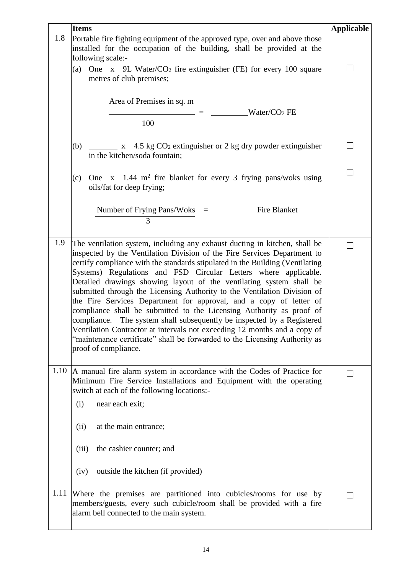|      | <b>Applicable</b><br><b>Items</b>                                                                                                                                                                                                                                                                                                                                                                                                                                                                                                                                                                                                                                                                                                                                                                                                                                         |   |  |
|------|---------------------------------------------------------------------------------------------------------------------------------------------------------------------------------------------------------------------------------------------------------------------------------------------------------------------------------------------------------------------------------------------------------------------------------------------------------------------------------------------------------------------------------------------------------------------------------------------------------------------------------------------------------------------------------------------------------------------------------------------------------------------------------------------------------------------------------------------------------------------------|---|--|
| 1.8  | Portable fire fighting equipment of the approved type, over and above those<br>installed for the occupation of the building, shall be provided at the<br>following scale:-                                                                                                                                                                                                                                                                                                                                                                                                                                                                                                                                                                                                                                                                                                |   |  |
|      | (a) One x 9L Water/CO <sub>2</sub> fire extinguisher (FE) for every 100 square<br>metres of club premises;                                                                                                                                                                                                                                                                                                                                                                                                                                                                                                                                                                                                                                                                                                                                                                |   |  |
|      | Area of Premises in sq. m<br>$=$ ___________Water/CO <sub>2</sub> FE                                                                                                                                                                                                                                                                                                                                                                                                                                                                                                                                                                                                                                                                                                                                                                                                      |   |  |
|      | 100                                                                                                                                                                                                                                                                                                                                                                                                                                                                                                                                                                                                                                                                                                                                                                                                                                                                       |   |  |
|      | x 4.5 kg $CO2$ extinguisher or 2 kg dry powder extinguisher<br>(b)<br>in the kitchen/soda fountain;                                                                                                                                                                                                                                                                                                                                                                                                                                                                                                                                                                                                                                                                                                                                                                       |   |  |
|      | One $x$ 1.44 m <sup>2</sup> fire blanket for every 3 frying pans/woks using<br>(c)<br>oils/fat for deep frying;                                                                                                                                                                                                                                                                                                                                                                                                                                                                                                                                                                                                                                                                                                                                                           | ┐ |  |
|      | Number of Frying Pans/Woks $=$<br>Fire Blanket<br>3                                                                                                                                                                                                                                                                                                                                                                                                                                                                                                                                                                                                                                                                                                                                                                                                                       |   |  |
|      |                                                                                                                                                                                                                                                                                                                                                                                                                                                                                                                                                                                                                                                                                                                                                                                                                                                                           |   |  |
| 1.9  | The ventilation system, including any exhaust ducting in kitchen, shall be<br>inspected by the Ventilation Division of the Fire Services Department to<br>certify compliance with the standards stipulated in the Building (Ventilating<br>Systems) Regulations and FSD Circular Letters where applicable.<br>Detailed drawings showing layout of the ventilating system shall be<br>submitted through the Licensing Authority to the Ventilation Division of<br>the Fire Services Department for approval, and a copy of letter of<br>compliance shall be submitted to the Licensing Authority as proof of<br>compliance. The system shall subsequently be inspected by a Registered<br>Ventilation Contractor at intervals not exceeding 12 months and a copy of<br>'maintenance certificate'' shall be forwarded to the Licensing Authority as<br>proof of compliance. |   |  |
| 1.10 | A manual fire alarm system in accordance with the Codes of Practice for<br>Minimum Fire Service Installations and Equipment with the operating<br>switch at each of the following locations:-                                                                                                                                                                                                                                                                                                                                                                                                                                                                                                                                                                                                                                                                             |   |  |
|      | (i)<br>near each exit;                                                                                                                                                                                                                                                                                                                                                                                                                                                                                                                                                                                                                                                                                                                                                                                                                                                    |   |  |
|      | at the main entrance;<br>(ii)                                                                                                                                                                                                                                                                                                                                                                                                                                                                                                                                                                                                                                                                                                                                                                                                                                             |   |  |
|      | the cashier counter; and<br>(iii)                                                                                                                                                                                                                                                                                                                                                                                                                                                                                                                                                                                                                                                                                                                                                                                                                                         |   |  |
|      | outside the kitchen (if provided)<br>(iv)                                                                                                                                                                                                                                                                                                                                                                                                                                                                                                                                                                                                                                                                                                                                                                                                                                 |   |  |
| 1.11 | Where the premises are partitioned into cubicles/rooms for use by<br>members/guests, every such cubicle/room shall be provided with a fire<br>alarm bell connected to the main system.                                                                                                                                                                                                                                                                                                                                                                                                                                                                                                                                                                                                                                                                                    |   |  |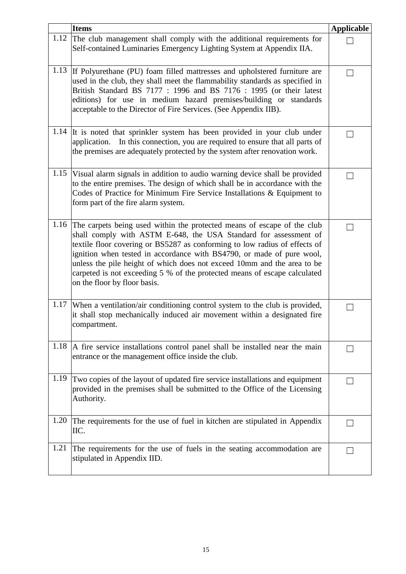|      | <b>Items</b>                                                                                                                                                                                                                                                                                                                                                                                                                                                                               | <b>Applicable</b> |
|------|--------------------------------------------------------------------------------------------------------------------------------------------------------------------------------------------------------------------------------------------------------------------------------------------------------------------------------------------------------------------------------------------------------------------------------------------------------------------------------------------|-------------------|
| 1.12 | The club management shall comply with the additional requirements for<br>Self-contained Luminaries Emergency Lighting System at Appendix IIA.                                                                                                                                                                                                                                                                                                                                              |                   |
| 1.13 | If Polyurethane (PU) foam filled mattresses and upholstered furniture are<br>used in the club, they shall meet the flammability standards as specified in<br>British Standard BS 7177: 1996 and BS 7176: 1995 (or their latest<br>editions) for use in medium hazard premises/building or standards<br>acceptable to the Director of Fire Services. (See Appendix IIB).                                                                                                                    |                   |
|      | $1.14$ It is noted that sprinkler system has been provided in your club under<br>In this connection, you are required to ensure that all parts of<br>application.<br>the premises are adequately protected by the system after renovation work.                                                                                                                                                                                                                                            |                   |
| 1.15 | Visual alarm signals in addition to audio warning device shall be provided<br>to the entire premises. The design of which shall be in accordance with the<br>Codes of Practice for Minimum Fire Service Installations & Equipment to<br>form part of the fire alarm system.                                                                                                                                                                                                                |                   |
| 1.16 | The carpets being used within the protected means of escape of the club<br>shall comply with ASTM E-648, the USA Standard for assessment of<br>textile floor covering or BS5287 as conforming to low radius of effects of<br>ignition when tested in accordance with BS4790, or made of pure wool,<br>unless the pile height of which does not exceed 10mm and the area to be<br>carpeted is not exceeding 5 % of the protected means of escape calculated<br>on the floor by floor basis. |                   |
| 1.17 | When a ventilation/air conditioning control system to the club is provided,<br>it shall stop mechanically induced air movement within a designated fire<br>compartment.                                                                                                                                                                                                                                                                                                                    |                   |
| 1.18 | A fire service installations control panel shall be installed near the main<br>entrance or the management office inside the club.                                                                                                                                                                                                                                                                                                                                                          |                   |
| 1.19 | Two copies of the layout of updated fire service installations and equipment<br>provided in the premises shall be submitted to the Office of the Licensing<br>Authority.                                                                                                                                                                                                                                                                                                                   |                   |
| 1.20 | The requirements for the use of fuel in kitchen are stipulated in Appendix<br>IIC.                                                                                                                                                                                                                                                                                                                                                                                                         |                   |
| 1.21 | The requirements for the use of fuels in the seating accommodation are<br>stipulated in Appendix IID.                                                                                                                                                                                                                                                                                                                                                                                      |                   |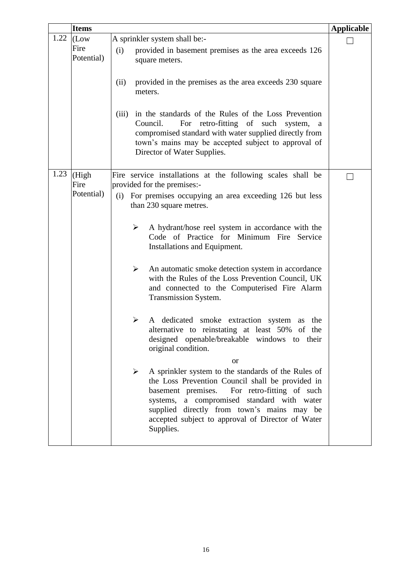|      | <b>Items</b>       |                                                                                                                                                                                                                                                                                                                                            | <b>Applicable</b> |
|------|--------------------|--------------------------------------------------------------------------------------------------------------------------------------------------------------------------------------------------------------------------------------------------------------------------------------------------------------------------------------------|-------------------|
| 1.22 | (Low)              | A sprinkler system shall be:-                                                                                                                                                                                                                                                                                                              |                   |
|      | Fire<br>Potential) | provided in basement premises as the area exceeds 126<br>(i)<br>square meters.                                                                                                                                                                                                                                                             |                   |
|      |                    | provided in the premises as the area exceeds 230 square<br>(ii)<br>meters.                                                                                                                                                                                                                                                                 |                   |
|      |                    | in the standards of the Rules of the Loss Prevention<br>(iii)<br>Council.<br>For retro-fitting of such<br>system, a<br>compromised standard with water supplied directly from<br>town's mains may be accepted subject to approval of<br>Director of Water Supplies.                                                                        |                   |
| 1.23 | (High<br>Fire      | Fire service installations at the following scales shall be<br>provided for the premises:-                                                                                                                                                                                                                                                 |                   |
|      | Potential)         | For premises occupying an area exceeding 126 but less<br>(i)<br>than 230 square metres.                                                                                                                                                                                                                                                    |                   |
|      |                    | A hydrant/hose reel system in accordance with the<br>➤<br>Code of Practice for Minimum Fire Service<br>Installations and Equipment.                                                                                                                                                                                                        |                   |
|      |                    | An automatic smoke detection system in accordance<br>$\blacktriangleright$<br>with the Rules of the Loss Prevention Council, UK<br>and connected to the Computerised Fire Alarm<br>Transmission System.                                                                                                                                    |                   |
|      |                    | A dedicated smoke extraction system as the<br>➤<br>alternative to reinstating at least 50% of the<br>designed openable/breakable windows to their<br>original condition.                                                                                                                                                                   |                   |
|      |                    | <b>or</b><br>A sprinkler system to the standards of the Rules of<br>➤<br>the Loss Prevention Council shall be provided in<br>For retro-fitting of such<br>basement premises.<br>systems, a compromised standard with water<br>supplied directly from town's mains may be<br>accepted subject to approval of Director of Water<br>Supplies. |                   |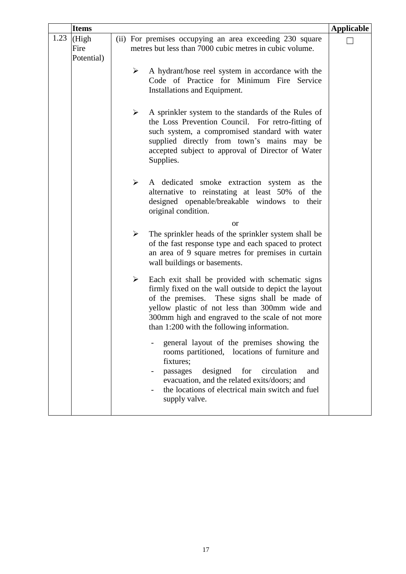|      | <b>Items</b>                |                                                                                                                                                                                                                                                                                                                     | <b>Applicable</b> |
|------|-----------------------------|---------------------------------------------------------------------------------------------------------------------------------------------------------------------------------------------------------------------------------------------------------------------------------------------------------------------|-------------------|
| 1.23 | (High<br>Fire<br>Potential) |                                                                                                                                                                                                                                                                                                                     |                   |
|      |                             | A hydrant/hose reel system in accordance with the<br>➤<br>Code of Practice for Minimum Fire Service<br>Installations and Equipment.                                                                                                                                                                                 |                   |
|      |                             | A sprinkler system to the standards of the Rules of<br>➤<br>the Loss Prevention Council. For retro-fitting of<br>such system, a compromised standard with water<br>supplied directly from town's mains may be<br>accepted subject to approval of Director of Water<br>Supplies.                                     |                   |
|      |                             | ➤<br>A dedicated smoke extraction system as the<br>alternative to reinstating at least 50% of the<br>designed openable/breakable windows to their<br>original condition.                                                                                                                                            |                   |
|      |                             | <b>or</b><br>The sprinkler heads of the sprinkler system shall be<br>➤<br>of the fast response type and each spaced to protect<br>an area of 9 square metres for premises in curtain<br>wall buildings or basements.                                                                                                |                   |
|      |                             | Each exit shall be provided with schematic signs<br>➤<br>firmly fixed on the wall outside to depict the layout<br>of the premises. These signs shall be made of<br>yellow plastic of not less than 300mm wide and<br>300mm high and engraved to the scale of not more<br>than 1:200 with the following information. |                   |
|      |                             | general layout of the premises showing the<br>rooms partitioned, locations of furniture and<br>fixtures;<br>for<br>designed<br>circulation<br>and<br>passages<br>evacuation, and the related exits/doors; and<br>the locations of electrical main switch and fuel<br>supply valve.                                  |                   |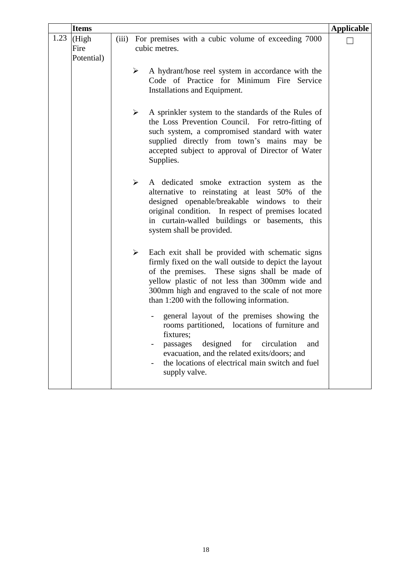|      | <b>Items</b>                |                                                                                                                                                                                                                                                                                                                     | <b>Applicable</b> |
|------|-----------------------------|---------------------------------------------------------------------------------------------------------------------------------------------------------------------------------------------------------------------------------------------------------------------------------------------------------------------|-------------------|
| 1.23 | (High<br>Fire<br>Potential) | For premises with a cubic volume of exceeding 7000<br>(iii)<br>cubic metres.                                                                                                                                                                                                                                        |                   |
|      |                             | A hydrant/hose reel system in accordance with the<br>➤<br>Code of Practice for Minimum Fire Service<br>Installations and Equipment.                                                                                                                                                                                 |                   |
|      |                             | A sprinkler system to the standards of the Rules of<br>➤<br>the Loss Prevention Council. For retro-fitting of<br>such system, a compromised standard with water<br>supplied directly from town's mains may be<br>accepted subject to approval of Director of Water<br>Supplies.                                     |                   |
|      |                             | ➤<br>A dedicated smoke extraction system as the<br>alternative to reinstating at least 50% of the<br>designed openable/breakable windows to their<br>original condition. In respect of premises located<br>in curtain-walled buildings or basements, this<br>system shall be provided.                              |                   |
|      |                             | Each exit shall be provided with schematic signs<br>➤<br>firmly fixed on the wall outside to depict the layout<br>of the premises. These signs shall be made of<br>yellow plastic of not less than 300mm wide and<br>300mm high and engraved to the scale of not more<br>than 1:200 with the following information. |                   |
|      |                             | general layout of the premises showing the<br>rooms partitioned, locations of furniture and<br>fixtures;<br>passages<br>designed<br>for<br>circulation<br>and<br>evacuation, and the related exits/doors; and<br>the locations of electrical main switch and fuel<br>supply valve.                                  |                   |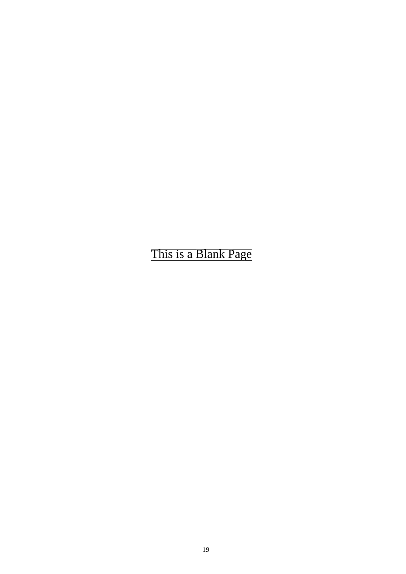# This is a Blank Page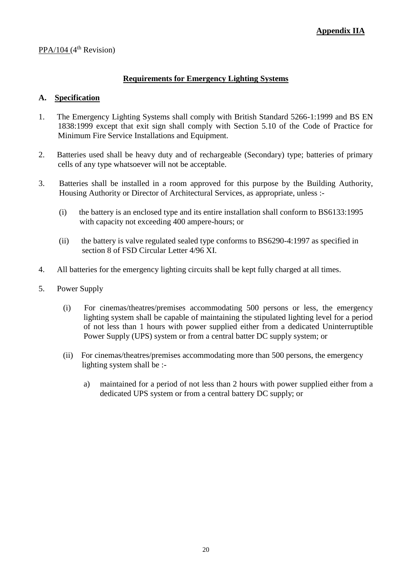#### **Requirements for Emergency Lighting Systems**

#### <span id="page-20-0"></span>**A. Specification**

- 1. The Emergency Lighting Systems shall comply with British Standard 5266-1:1999 and BS EN 1838:1999 except that exit sign shall comply with Section 5.10 of the Code of Practice for Minimum Fire Service Installations and Equipment.
- 2. Batteries used shall be heavy duty and of rechargeable (Secondary) type; batteries of primary cells of any type whatsoever will not be acceptable.
- 3. Batteries shall be installed in a room approved for this purpose by the Building Authority, Housing Authority or Director of Architectural Services, as appropriate, unless :-
	- (i) the battery is an enclosed type and its entire installation shall conform to BS6133:1995 with capacity not exceeding 400 ampere-hours; or
	- (ii) the battery is valve regulated sealed type conforms to BS6290-4:1997 as specified in section 8 of FSD Circular Letter 4/96 XI.
- 4. All batteries for the emergency lighting circuits shall be kept fully charged at all times.
- 5. Power Supply
	- (i) For cinemas/theatres/premises accommodating 500 persons or less, the emergency lighting system shall be capable of maintaining the stipulated lighting level for a period of not less than 1 hours with power supplied either from a dedicated Uninterruptible Power Supply (UPS) system or from a central batter DC supply system; or
	- (ii) For cinemas/theatres/premises accommodating more than 500 persons, the emergency lighting system shall be :
		- a) maintained for a period of not less than 2 hours with power supplied either from a dedicated UPS system or from a central battery DC supply; or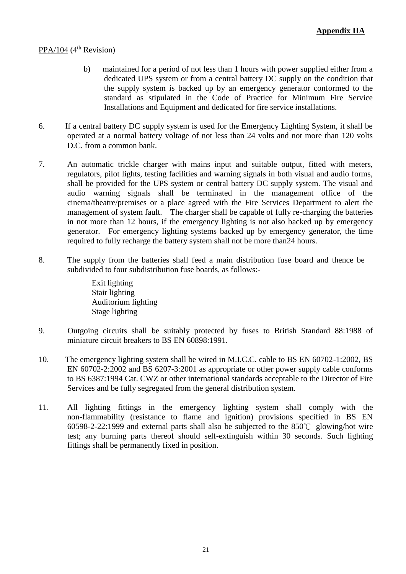#### $PPA/104$  (4<sup>th</sup> Revision)

- b) maintained for a period of not less than 1 hours with power supplied either from a dedicated UPS system or from a central battery DC supply on the condition that the supply system is backed up by an emergency generator conformed to the standard as stipulated in the Code of Practice for Minimum Fire Service Installations and Equipment and dedicated for fire service installations.
- 6. If a central battery DC supply system is used for the Emergency Lighting System, it shall be operated at a normal battery voltage of not less than 24 volts and not more than 120 volts D.C. from a common bank.
- 7. An automatic trickle charger with mains input and suitable output, fitted with meters, regulators, pilot lights, testing facilities and warning signals in both visual and audio forms, shall be provided for the UPS system or central battery DC supply system. The visual and audio warning signals shall be terminated in the management office of the cinema/theatre/premises or a place agreed with the Fire Services Department to alert the management of system fault. The charger shall be capable of fully re-charging the batteries in not more than 12 hours, if the emergency lighting is not also backed up by emergency generator. For emergency lighting systems backed up by emergency generator, the time required to fully recharge the battery system shall not be more than24 hours.
- 8. The supply from the batteries shall feed a main distribution fuse board and thence be subdivided to four subdistribution fuse boards, as follows:-

Exit lighting Stair lighting Auditorium lighting Stage lighting

- 9. Outgoing circuits shall be suitably protected by fuses to British Standard 88:1988 of miniature circuit breakers to BS EN 60898:1991.
- 10. The emergency lighting system shall be wired in M.I.C.C. cable to BS EN 60702-1:2002, BS EN 60702-2:2002 and BS 6207-3:2001 as appropriate or other power supply cable conforms to BS 6387:1994 Cat. CWZ or other international standards acceptable to the Director of Fire Services and be fully segregated from the general distribution system.
- 11. All lighting fittings in the emergency lighting system shall comply with the non-flammability (resistance to flame and ignition) provisions specified in BS EN 60598-2-22:1999 and external parts shall also be subjected to the 850℃ glowing/hot wire test; any burning parts thereof should self-extinguish within 30 seconds. Such lighting fittings shall be permanently fixed in position.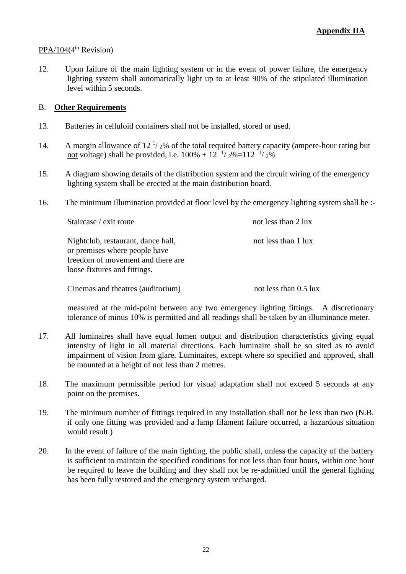#### $PPA/104(4<sup>th</sup> Revision)$

12. Upon failure of the main lighting system or in the event of power failure, the emergency lighting system shall automatically light up to at least 90% of the stipulated illumination level within 5 seconds.

#### B. **Other Requirements**

- 13. Batteries in celluloid containers shall not be installed, stored or used.
- 14. A margin allowance of 12 $\frac{1}{2}$ % of the total required battery capacity (ampere-hour rating but <u>not</u> voltage) shall be provided, i.e.  $100\% + 12^{-1/2}\% = 112^{-1/2}\%$
- 15. A diagram showing details of the distribution system and the circuit wiring of the emergency lighting system shall be erected at the main distribution board.
- 16. The minimum illumination provided at floor level by the emergency lighting system shall be :-

| Staircase / exit route                                                                                                                   | not less than 2 lux   |
|------------------------------------------------------------------------------------------------------------------------------------------|-----------------------|
| Nightclub, restaurant, dance hall,<br>or premises where people have<br>freedom of movement and there are<br>loose fixtures and fittings. | not less than 1 lux   |
| Cinemas and theatres (auditorium)                                                                                                        | not less than 0.5 lux |

measured at the mid-point between any two emergency lighting fittings. A discretionary tolerance of minus 10% is permitted and all readings shall be taken by an illuminance meter.

- 17. All luminaires shall have equal lumen output and distribution characteristics giving equal intensity of light in all material directions. Each luminaire shall be so sited as to avoid impairment of vision from glare. Luminaires, except where so specified and approved, shall be mounted at a height of not less than 2 metres.
- 18. The maximum permissible period for visual adaptation shall not exceed 5 seconds at any point on the premises.
- 19. The minimum number of fittings required in any installation shall not be less than two (N.B. if only one fitting was provided and a lamp filament failure occurred, a hazardous situation would result.)
- 20. In the event of failure of the main lighting, the public shall, unless the capacity of the battery is sufficient to maintain the specified conditions for not less than four hours, within one hour be required to leave the building and they shall not be re-admitted until the general lighting has been fully restored and the emergency system recharged.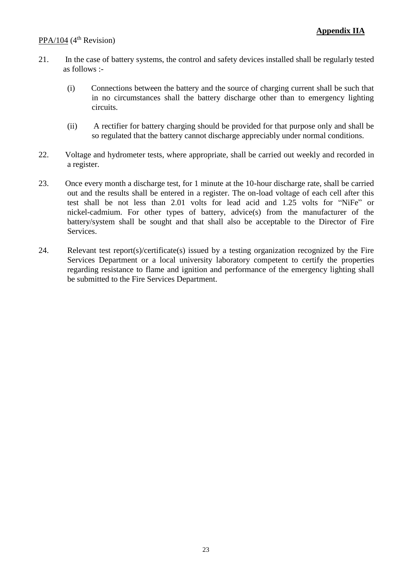- 21. In the case of battery systems, the control and safety devices installed shall be regularly tested as follows :-
	- (i) Connections between the battery and the source of charging current shall be such that in no circumstances shall the battery discharge other than to emergency lighting circuits.
	- (ii) A rectifier for battery charging should be provided for that purpose only and shall be so regulated that the battery cannot discharge appreciably under normal conditions.
- 22. Voltage and hydrometer tests, where appropriate, shall be carried out weekly and recorded in a register.
- 23. Once every month a discharge test, for 1 minute at the 10-hour discharge rate, shall be carried out and the results shall be entered in a register. The on-load voltage of each cell after this test shall be not less than 2.01 volts for lead acid and 1.25 volts for "NiFe" or nickel-cadmium. For other types of battery, advice(s) from the manufacturer of the battery/system shall be sought and that shall also be acceptable to the Director of Fire Services.
- 24. Relevant test report(s)/certificate(s) issued by a testing organization recognized by the Fire Services Department or a local university laboratory competent to certify the properties regarding resistance to flame and ignition and performance of the emergency lighting shall be submitted to the Fire Services Department.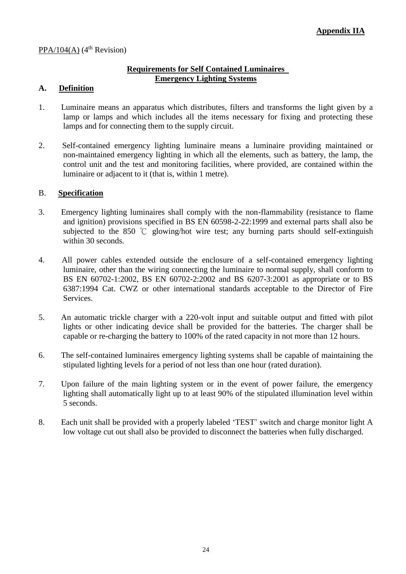#### **Requirements for Self Contained Luminaires Emergency Lighting Systems**

#### **A. Definition**

- 1. Luminaire means an apparatus which distributes, filters and transforms the light given by a lamp or lamps and which includes all the items necessary for fixing and protecting these lamps and for connecting them to the supply circuit.
- 2. Self-contained emergency lighting luminaire means a luminaire providing maintained or non-maintained emergency lighting in which all the elements, such as battery, the lamp, the control unit and the test and monitoring facilities, where provided, are contained within the luminaire or adjacent to it (that is, within 1 metre).

#### B. **Specification**

- 3. Emergency lighting luminaires shall comply with the non-flammability (resistance to flame and ignition) provisions specified in BS EN 60598-2-22:1999 and external parts shall also be subjected to the 850 ℃ glowing/hot wire test; any burning parts should self-extinguish within 30 seconds.
- 4. All power cables extended outside the enclosure of a self-contained emergency lighting luminaire, other than the wiring connecting the luminaire to normal supply, shall conform to BS EN 60702-1:2002, BS EN 60702-2:2002 and BS 6207-3:2001 as appropriate or to BS 6387:1994 Cat. CWZ or other international standards acceptable to the Director of Fire Services.
- 5. An automatic trickle charger with a 220-volt input and suitable output and fitted with pilot lights or other indicating device shall be provided for the batteries. The charger shall be capable or re-charging the battery to 100% of the rated capacity in not more than 12 hours.
- 6. The self-contained luminaires emergency lighting systems shall be capable of maintaining the stipulated lighting levels for a period of not less than one hour (rated duration).
- 7. Upon failure of the main lighting system or in the event of power failure, the emergency lighting shall automatically light up to at least 90% of the stipulated illumination level within 5 seconds.
- 8. Each unit shall be provided with a properly labeled 'TEST' switch and charge monitor light A low voltage cut out shall also be provided to disconnect the batteries when fully discharged.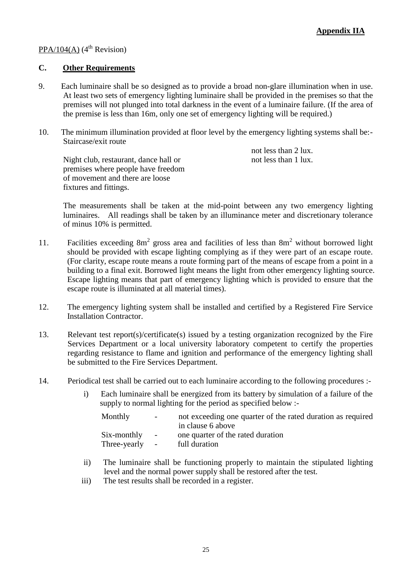### $PPA/104(A)$  (4<sup>th</sup> Revision)

#### **C. Other Requirements**

- 9. Each luminaire shall be so designed as to provide a broad non-glare illumination when in use. At least two sets of emergency lighting luminaire shall be provided in the premises so that the premises will not plunged into total darkness in the event of a luminaire failure. (If the area of the premise is less than 16m, only one set of emergency lighting will be required.)
- 10. The minimum illumination provided at floor level by the emergency lighting systems shall be:- Staircase/exit route

not less than 2 lux.

Night club, restaurant, dance hall or not less than 1 lux. premises where people have freedom of movement and there are loose fixtures and fittings.

The measurements shall be taken at the mid-point between any two emergency lighting luminaires. All readings shall be taken by an illuminance meter and discretionary tolerance of minus 10% is permitted.

- 11. Facilities exceeding 8m<sup>2</sup> gross area and facilities of less than 8m<sup>2</sup> without borrowed light should be provided with escape lighting complying as if they were part of an escape route. (For clarity, escape route means a route forming part of the means of escape from a point in a building to a final exit. Borrowed light means the light from other emergency lighting source. Escape lighting means that part of emergency lighting which is provided to ensure that the escape route is illuminated at all material times).
- 12. The emergency lighting system shall be installed and certified by a Registered Fire Service Installation Contractor.
- 13. Relevant test report(s)/certificate(s) issued by a testing organization recognized by the Fire Services Department or a local university laboratory competent to certify the properties regarding resistance to flame and ignition and performance of the emergency lighting shall be submitted to the Fire Services Department.
- 14. Periodical test shall be carried out to each luminaire according to the following procedures :
	- i) Each luminaire shall be energized from its battery by simulation of a failure of the supply to normal lighting for the period as specified below :-

| Monthly      | $\sim$                   | not exceeding one quarter of the rated duration as required<br>in clause 6 above |
|--------------|--------------------------|----------------------------------------------------------------------------------|
| Six-monthly  | $\sim$ $-$               | one quarter of the rated duration                                                |
| Three-yearly | <b>Contract Contract</b> | full duration                                                                    |

- ii) The luminaire shall be functioning properly to maintain the stipulated lighting level and the normal power supply shall be restored after the test.
- iii) The test results shall be recorded in a register.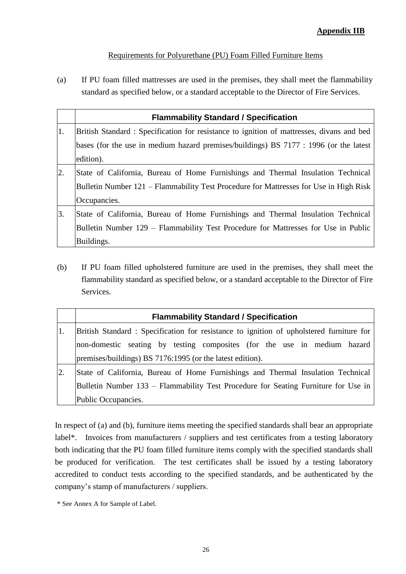#### Requirements for Polyurethane (PU) Foam Filled Furniture Items

<span id="page-26-0"></span>(a) If PU foam filled mattresses are used in the premises, they shall meet the flammability standard as specified below, or a standard acceptable to the Director of Fire Services.

|    | <b>Flammability Standard / Specification</b>                                             |  |  |  |
|----|------------------------------------------------------------------------------------------|--|--|--|
| 1. | British Standard: Specification for resistance to ignition of mattresses, divans and bed |  |  |  |
|    | bases (for the use in medium hazard premises/buildings) BS 7177 : 1996 (or the latest    |  |  |  |
|    | edition).                                                                                |  |  |  |
| 2. | State of California, Bureau of Home Furnishings and Thermal Insulation Technical         |  |  |  |
|    | Bulletin Number 121 – Flammability Test Procedure for Mattresses for Use in High Risk    |  |  |  |
|    | Occupancies.                                                                             |  |  |  |
| 3. | State of California, Bureau of Home Furnishings and Thermal Insulation Technical         |  |  |  |
|    | Bulletin Number 129 – Flammability Test Procedure for Mattresses for Use in Public       |  |  |  |
|    | Buildings.                                                                               |  |  |  |

(b) If PU foam filled upholstered furniture are used in the premises, they shall meet the flammability standard as specified below, or a standard acceptable to the Director of Fire Services.

|    | <b>Flammability Standard / Specification</b>                                            |  |  |  |
|----|-----------------------------------------------------------------------------------------|--|--|--|
| 1. | British Standard: Specification for resistance to ignition of upholstered furniture for |  |  |  |
|    | non-domestic seating by testing composites (for the use in medium hazard                |  |  |  |
|    | premises/buildings) BS 7176:1995 (or the latest edition).                               |  |  |  |
| 2. | State of California, Bureau of Home Furnishings and Thermal Insulation Technical        |  |  |  |
|    | Bulletin Number 133 – Flammability Test Procedure for Seating Furniture for Use in      |  |  |  |
|    | Public Occupancies.                                                                     |  |  |  |

In respect of (a) and (b), furniture items meeting the specified standards shall bear an appropriate label\*. Invoices from manufacturers / suppliers and test certificates from a testing laboratory both indicating that the PU foam filled furniture items comply with the specified standards shall be produced for verification. The test certificates shall be issued by a testing laboratory accredited to conduct tests according to the specified standards, and be authenticated by the company's stamp of manufacturers / suppliers.

\* See Annex A for Sample of Label.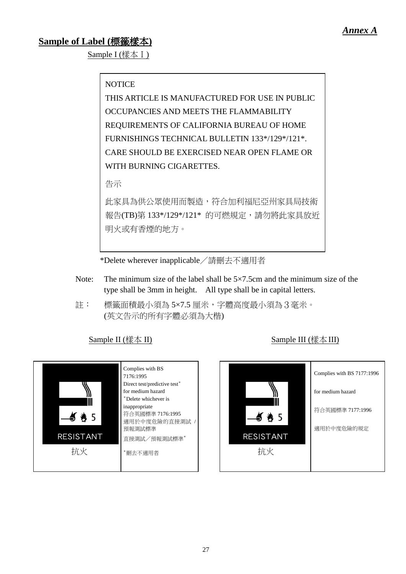# *Annex A*

### <span id="page-27-0"></span>**Sample of Label (**標籤樣本**)**

Sample I (樣本I)

**NOTICE** 

THIS ARTICLE IS MANUFACTURED FOR USE IN PUBLIC OCCUPANCIES AND MEETS THE FLAMMABILITY REQUIREMENTS OF CALIFORNIA BUREAU OF HOME FURNISHINGS TECHNICAL BULLETIN 133\*/129\*/121\*. CARE SHOULD BE EXERCISED NEAR OPEN FLAME OR WITH BURNING CIGARETTES.

告示

此家具為供公眾使用而製造,符合加利福尼亞州家具局技術 報告(TB)第 133\*/129\*/121\* 的可燃規定, 請勿將此家具放折 明火或有香煙的地方。

\*Delete wherever inapplicable/請刪去不適用者

- Note: The minimum size of the label shall be  $5\times 7.5$ cm and the minimum size of the type shall be 3mm in height. All type shall be in capital letters.
- 註: 標籤面積最小須為 5×7.5 厘米,字體高度最小須為 3 毫米。 (英文告示的所有字體必須為大楷)



Sample II (樣本 II) Sample III (樣本 III)

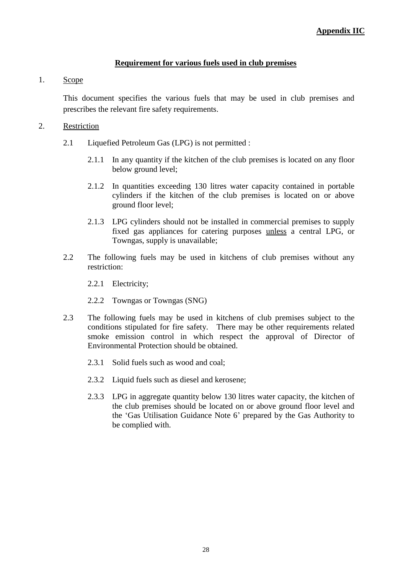#### **Requirement for various fuels used in club premises**

<span id="page-28-0"></span>1. Scope

This document specifies the various fuels that may be used in club premises and prescribes the relevant fire safety requirements.

- 2. Restriction
	- 2.1 Liquefied Petroleum Gas (LPG) is not permitted :
		- 2.1.1 In any quantity if the kitchen of the club premises is located on any floor below ground level;
		- 2.1.2 In quantities exceeding 130 litres water capacity contained in portable cylinders if the kitchen of the club premises is located on or above ground floor level;
		- 2.1.3 LPG cylinders should not be installed in commercial premises to supply fixed gas appliances for catering purposes unless a central LPG, or Towngas, supply is unavailable;
	- 2.2 The following fuels may be used in kitchens of club premises without any restriction:
		- 2.2.1 Electricity;
		- 2.2.2 Towngas or Towngas (SNG)
	- 2.3 The following fuels may be used in kitchens of club premises subject to the conditions stipulated for fire safety. There may be other requirements related smoke emission control in which respect the approval of Director of Environmental Protection should be obtained.
		- 2.3.1 Solid fuels such as wood and coal;
		- 2.3.2 Liquid fuels such as diesel and kerosene;
		- 2.3.3 LPG in aggregate quantity below 130 litres water capacity, the kitchen of the club premises should be located on or above ground floor level and the 'Gas Utilisation Guidance Note 6' prepared by the Gas Authority to be complied with.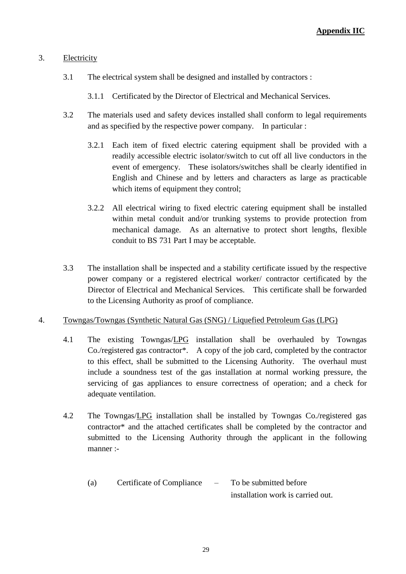#### 3. Electricity

- 3.1 The electrical system shall be designed and installed by contractors :
	- 3.1.1 Certificated by the Director of Electrical and Mechanical Services.
- 3.2 The materials used and safety devices installed shall conform to legal requirements and as specified by the respective power company. In particular :
	- 3.2.1 Each item of fixed electric catering equipment shall be provided with a readily accessible electric isolator/switch to cut off all live conductors in the event of emergency. These isolators/switches shall be clearly identified in English and Chinese and by letters and characters as large as practicable which items of equipment they control;
	- 3.2.2 All electrical wiring to fixed electric catering equipment shall be installed within metal conduit and/or trunking systems to provide protection from mechanical damage. As an alternative to protect short lengths, flexible conduit to BS 731 Part I may be acceptable.
- 3.3 The installation shall be inspected and a stability certificate issued by the respective power company or a registered electrical worker/ contractor certificated by the Director of Electrical and Mechanical Services. This certificate shall be forwarded to the Licensing Authority as proof of compliance.

#### 4. Towngas/Towngas (Synthetic Natural Gas (SNG) / Liquefied Petroleum Gas (LPG)

- 4.1 The existing Towngas/LPG installation shall be overhauled by Towngas Co./registered gas contractor\*. A copy of the job card, completed by the contractor to this effect, shall be submitted to the Licensing Authority. The overhaul must include a soundness test of the gas installation at normal working pressure, the servicing of gas appliances to ensure correctness of operation; and a check for adequate ventilation.
- 4.2 The Towngas/LPG installation shall be installed by Towngas Co./registered gas contractor\* and the attached certificates shall be completed by the contractor and submitted to the Licensing Authority through the applicant in the following manner :-
	- (a) Certificate of Compliance To be submitted before installation work is carried out.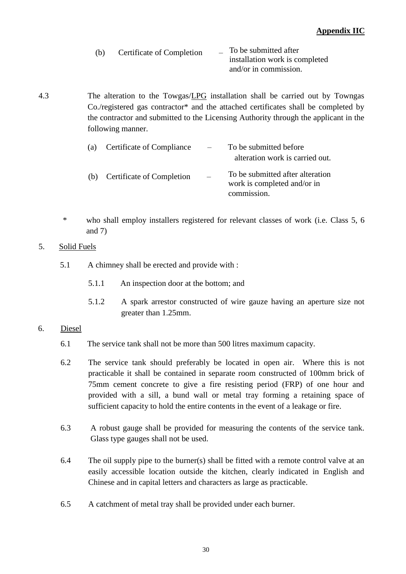(b) Certificate of Completion – To be submitted after installation work is completed and/or in commission.

4.3 The alteration to the Towgas/LPG installation shall be carried out by Towngas Co./registered gas contractor\* and the attached certificates shall be completed by the contractor and submitted to the Licensing Authority through the applicant in the following manner.

| (a) | Certificate of Compliance | To be submitted before                                                         |
|-----|---------------------------|--------------------------------------------------------------------------------|
|     |                           | alteration work is carried out.                                                |
| (b) | Certificate of Completion | To be submitted after alteration<br>work is completed and/or in<br>commission. |

\* who shall employ installers registered for relevant classes of work (i.e. Class 5, 6 and 7)

#### 5. Solid Fuels

- 5.1 A chimney shall be erected and provide with :
	- 5.1.1 An inspection door at the bottom; and
	- 5.1.2 A spark arrestor constructed of wire gauze having an aperture size not greater than 1.25mm.

#### 6. Diesel

- 6.1 The service tank shall not be more than 500 litres maximum capacity.
- 6.2 The service tank should preferably be located in open air. Where this is not practicable it shall be contained in separate room constructed of 100mm brick of 75mm cement concrete to give a fire resisting period (FRP) of one hour and provided with a sill, a bund wall or metal tray forming a retaining space of sufficient capacity to hold the entire contents in the event of a leakage or fire.
- 6.3 A robust gauge shall be provided for measuring the contents of the service tank. Glass type gauges shall not be used.
- 6.4 The oil supply pipe to the burner(s) shall be fitted with a remote control valve at an easily accessible location outside the kitchen, clearly indicated in English and Chinese and in capital letters and characters as large as practicable.
- 6.5 A catchment of metal tray shall be provided under each burner.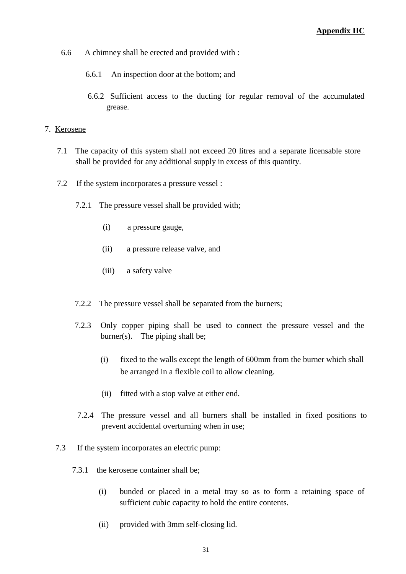- 6.6 A chimney shall be erected and provided with :
	- 6.6.1 An inspection door at the bottom; and
	- 6.6.2 Sufficient access to the ducting for regular removal of the accumulated grease.

#### 7. Kerosene

- 7.1 The capacity of this system shall not exceed 20 litres and a separate licensable store shall be provided for any additional supply in excess of this quantity.
- 7.2 If the system incorporates a pressure vessel :
	- 7.2.1 The pressure vessel shall be provided with;
		- (i) a pressure gauge,
		- (ii) a pressure release valve, and
		- (iii) a safety valve
	- 7.2.2 The pressure vessel shall be separated from the burners;
	- 7.2.3 Only copper piping shall be used to connect the pressure vessel and the burner(s). The piping shall be;
		- (i) fixed to the walls except the length of 600mm from the burner which shall be arranged in a flexible coil to allow cleaning.
		- (ii) fitted with a stop valve at either end.
	- 7.2.4 The pressure vessel and all burners shall be installed in fixed positions to prevent accidental overturning when in use;
- 7.3 If the system incorporates an electric pump:
	- 7.3.1 the kerosene container shall be;
		- (i) bunded or placed in a metal tray so as to form a retaining space of sufficient cubic capacity to hold the entire contents.
		- (ii) provided with 3mm self-closing lid.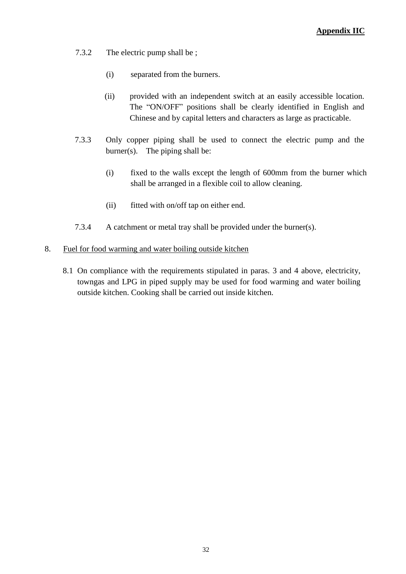- 7.3.2 The electric pump shall be ;
	- (i) separated from the burners.
	- (ii) provided with an independent switch at an easily accessible location. The "ON/OFF" positions shall be clearly identified in English and Chinese and by capital letters and characters as large as practicable.
- 7.3.3 Only copper piping shall be used to connect the electric pump and the burner(s). The piping shall be:
	- (i) fixed to the walls except the length of 600mm from the burner which shall be arranged in a flexible coil to allow cleaning.
	- (ii) fitted with on/off tap on either end.
- 7.3.4 A catchment or metal tray shall be provided under the burner(s).

#### 8. Fuel for food warming and water boiling outside kitchen

8.1 On compliance with the requirements stipulated in paras. 3 and 4 above, electricity, towngas and LPG in piped supply may be used for food warming and water boiling outside kitchen. Cooking shall be carried out inside kitchen.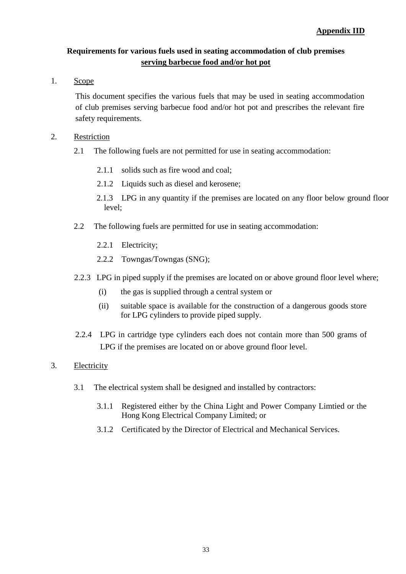#### <span id="page-33-0"></span>**Requirements for various fuels used in seating accommodation of club premises serving barbecue food and/or hot pot**

1. Scope

This document specifies the various fuels that may be used in seating accommodation of club premises serving barbecue food and/or hot pot and prescribes the relevant fire safety requirements.

- 2. Restriction
	- 2.1 The following fuels are not permitted for use in seating accommodation:
		- 2.1.1 solids such as fire wood and coal;
		- 2.1.2 Liquids such as diesel and kerosene:
		- 2.1.3 LPG in any quantity if the premises are located on any floor below ground floor level;
	- 2.2 The following fuels are permitted for use in seating accommodation:
		- 2.2.1 Electricity;
		- 2.2.2 Towngas/Towngas (SNG);
	- 2.2.3 LPG in piped supply if the premises are located on or above ground floor level where;
		- (i) the gas is supplied through a central system or
		- (ii) suitable space is available for the construction of a dangerous goods store for LPG cylinders to provide piped supply.
	- 2.2.4 LPG in cartridge type cylinders each does not contain more than 500 grams of LPG if the premises are located on or above ground floor level.
- 3. Electricity
	- 3.1 The electrical system shall be designed and installed by contractors:
		- 3.1.1 Registered either by the China Light and Power Company Limtied or the Hong Kong Electrical Company Limited; or
		- 3.1.2 Certificated by the Director of Electrical and Mechanical Services.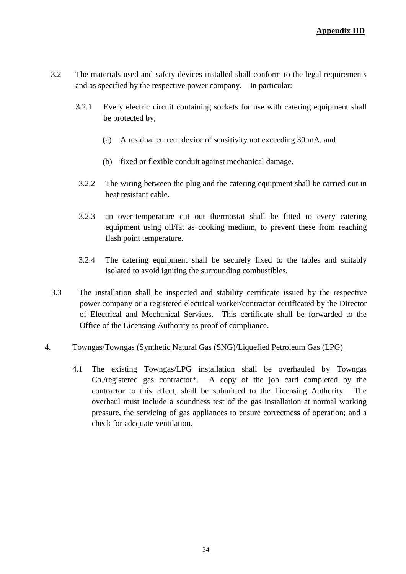- 3.2 The materials used and safety devices installed shall conform to the legal requirements and as specified by the respective power company. In particular:
	- 3.2.1 Every electric circuit containing sockets for use with catering equipment shall be protected by,
		- (a) A residual current device of sensitivity not exceeding 30 mA, and
		- (b) fixed or flexible conduit against mechanical damage.
	- 3.2.2 The wiring between the plug and the catering equipment shall be carried out in heat resistant cable.
	- 3.2.3 an over-temperature cut out thermostat shall be fitted to every catering equipment using oil/fat as cooking medium, to prevent these from reaching flash point temperature.
	- 3.2.4 The catering equipment shall be securely fixed to the tables and suitably isolated to avoid igniting the surrounding combustibles.
- 3.3 The installation shall be inspected and stability certificate issued by the respective power company or a registered electrical worker/contractor certificated by the Director of Electrical and Mechanical Services. This certificate shall be forwarded to the Office of the Licensing Authority as proof of compliance.

#### 4. Towngas/Towngas (Synthetic Natural Gas (SNG)/Liquefied Petroleum Gas (LPG)

4.1 The existing Towngas/LPG installation shall be overhauled by Towngas Co./registered gas contractor\*. A copy of the job card completed by the contractor to this effect, shall be submitted to the Licensing Authority. The overhaul must include a soundness test of the gas installation at normal working pressure, the servicing of gas appliances to ensure correctness of operation; and a check for adequate ventilation.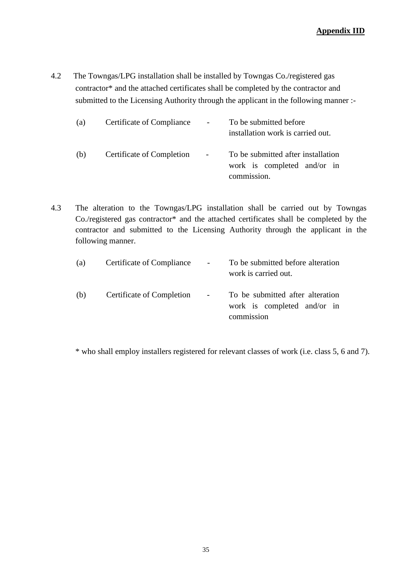4.2 The Towngas/LPG installation shall be installed by Towngas Co./registered gas contractor\* and the attached certificates shall be completed by the contractor and submitted to the Licensing Authority through the applicant in the following manner :-

| $\left( a\right)$ | Certificate of Compliance | $\sim 100$          | To be submitted before<br>installation work is carried out.                      |
|-------------------|---------------------------|---------------------|----------------------------------------------------------------------------------|
| (b)               | Certificate of Completion | $\omega_{\rm{max}}$ | To be submitted after installation<br>work is completed and/or in<br>commission. |

4.3 The alteration to the Towngas/LPG installation shall be carried out by Towngas Co./registered gas contractor\* and the attached certificates shall be completed by the contractor and submitted to the Licensing Authority through the applicant in the following manner.

| (a) | Certificate of Compliance<br>$\sim$                          | To be submitted before alteration<br>work is carried out.                     |
|-----|--------------------------------------------------------------|-------------------------------------------------------------------------------|
| (b) | Certificate of Completion<br>$\frac{1}{2}$ and $\frac{1}{2}$ | To be submitted after alteration<br>work is completed and/or in<br>commission |

\* who shall employ installers registered for relevant classes of work (i.e. class 5, 6 and 7).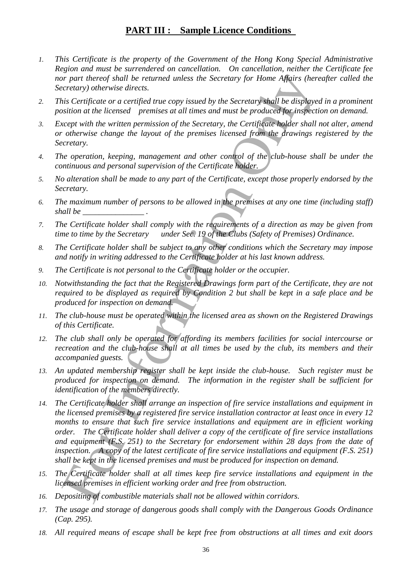### **PART III : Sample Licence Conditions**

- <span id="page-36-0"></span>*1. This Certificate is the property of the Government of the Hong Kong Special Administrative Region and must be surrendered on cancellation. On cancellation, neither the Certificate fee nor part thereof shall be returned unless the Secretary for Home Affairs (hereafter called the Secretary) otherwise directs.*
- *2. This Certificate or a certified true copy issued by the Secretary shall be displayed in a prominent position at the licensed premises at all times and must be produced for inspection on demand.*
- *3. Except with the written permission of the Secretary, the Certificate holder shall not alter, amend or otherwise change the layout of the premises licensed from the drawings registered by the Secretary.*
- *4. The operation, keeping, management and other control of the club-house shall be under the continuous and personal supervision of the Certificate holder.*
- *5. No alteration shall be made to any part of the Certificate, except those properly endorsed by the Secretary.*
- *6. The maximum number of persons to be allowed in the premises at any one time (including staff) shall be*  $\qquad \qquad$ .
- *7. The Certificate holder shall comply with the requirements of a direction as may be given from time to time by the Secretary under Sec. 19 of the Clubs (Safety of Premises) Ordinance.*
- *8. The Certificate holder shall be subject to any other conditions which the Secretary may impose and notify in writing addressed to the Certificate holder at his last known address.*
- *9. The Certificate is not personal to the Certificate holder or the occupier.*
- *10. Notwithstanding the fact that the Registered Drawings form part of the Certificate, they are not required to be displayed as required by Condition 2 but shall be kept in a safe place and be produced for inspection on demand.*
- *11. The club-house must be operated within the licensed area as shown on the Registered Drawings of this Certificate.*
- *12. The club shall only be operated for affording its members facilities for social intercourse or recreation and the club-house shall at all times be used by the club, its members and their accompanied guests.*
- *13. An updated membership register shall be kept inside the club-house. Such register must be produced for inspection on demand. The information in the register shall be sufficient for identification of the members directly.*
- *14. The Certificate holder shall arrange an inspection of fire service installations and equipment in the licensed premises by a registered fire service installation contractor at least once in every 12 months to ensure that such fire service installations and equipment are in efficient working order. The Certificate holder shall deliver a copy of the certificate of fire service installations and equipment (F.S. 251) to the Secretary for endorsement within 28 days from the date of inspection. A copy of the latest certificate of fire service installations and equipment (F.S. 251) shall be kept in the licensed premises and must be produced for inspection on demand.*
- *15. The Certificate holder shall at all times keep fire service installations and equipment in the licensed premises in efficient working order and free from obstruction.*
- *16. Depositing of combustible materials shall not be allowed within corridors.*
- *17. The usage and storage of dangerous goods shall comply with the Dangerous Goods Ordinance (Cap. 295).*
- *18. All required means of escape shall be kept free from obstructions at all times and exit doors*